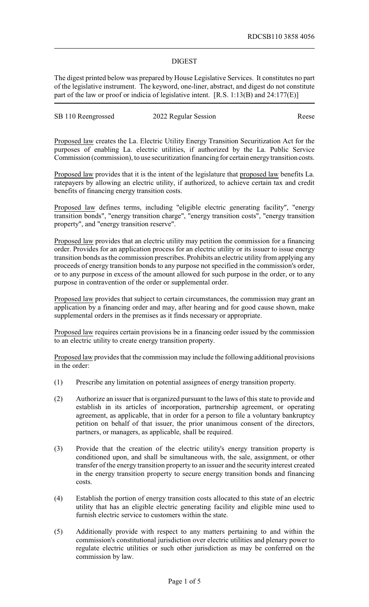## DIGEST

The digest printed below was prepared by House Legislative Services. It constitutes no part of the legislative instrument. The keyword, one-liner, abstract, and digest do not constitute part of the law or proof or indicia of legislative intent. [R.S. 1:13(B) and 24:177(E)]

| SB 110 Reengrossed | 2022 Regular Session | Reese |
|--------------------|----------------------|-------|
|                    |                      |       |

Proposed law creates the La. Electric Utility Energy Transition Securitization Act for the purposes of enabling La. electric utilities, if authorized by the La. Public Service Commission (commission), to use securitization financing for certain energytransition costs.

Proposed law provides that it is the intent of the legislature that proposed law benefits La. ratepayers by allowing an electric utility, if authorized, to achieve certain tax and credit benefits of financing energy transition costs.

Proposed law defines terms, including "eligible electric generating facility", "energy transition bonds", "energy transition charge", "energy transition costs", "energy transition property", and "energy transition reserve".

Proposed law provides that an electric utility may petition the commission for a financing order. Provides for an application process for an electric utility or its issuer to issue energy transition bonds as the commission prescribes. Prohibits an electric utility from applying any proceeds of energy transition bonds to any purpose not specified in the commission's order, or to any purpose in excess of the amount allowed for such purpose in the order, or to any purpose in contravention of the order or supplemental order.

Proposed law provides that subject to certain circumstances, the commission may grant an application by a financing order and may, after hearing and for good cause shown, make supplemental orders in the premises as it finds necessary or appropriate.

Proposed law requires certain provisions be in a financing order issued by the commission to an electric utility to create energy transition property.

Proposed law provides that the commission may include the following additional provisions in the order:

- (1) Prescribe any limitation on potential assignees of energy transition property.
- (2) Authorize an issuer that is organized pursuant to the laws of this state to provide and establish in its articles of incorporation, partnership agreement, or operating agreement, as applicable, that in order for a person to file a voluntary bankruptcy petition on behalf of that issuer, the prior unanimous consent of the directors, partners, or managers, as applicable, shall be required.
- (3) Provide that the creation of the electric utility's energy transition property is conditioned upon, and shall be simultaneous with, the sale, assignment, or other transfer of the energy transition property to an issuer and the security interest created in the energy transition property to secure energy transition bonds and financing costs.
- (4) Establish the portion of energy transition costs allocated to this state of an electric utility that has an eligible electric generating facility and eligible mine used to furnish electric service to customers within the state.
- (5) Additionally provide with respect to any matters pertaining to and within the commission's constitutional jurisdiction over electric utilities and plenary power to regulate electric utilities or such other jurisdiction as may be conferred on the commission by law.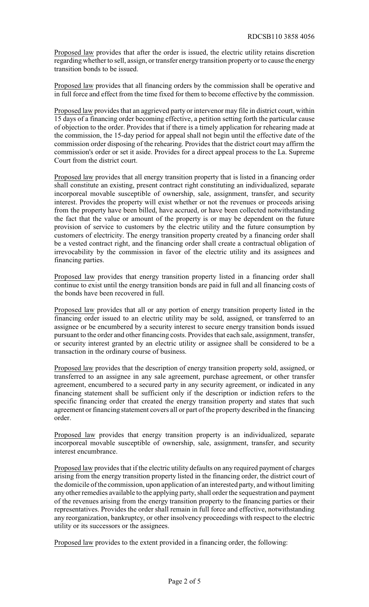Proposed law provides that after the order is issued, the electric utility retains discretion regarding whether to sell, assign, or transfer energy transition property or to cause the energy transition bonds to be issued.

Proposed law provides that all financing orders by the commission shall be operative and in full force and effect from the time fixed for them to become effective by the commission.

Proposed law provides that an aggrieved party or intervenor may file in district court, within 15 days of a financing order becoming effective, a petition setting forth the particular cause of objection to the order. Provides that if there is a timely application for rehearing made at the commission, the 15-day period for appeal shall not begin until the effective date of the commission order disposing of the rehearing. Provides that the district court may affirm the commission's order or set it aside. Provides for a direct appeal process to the La. Supreme Court from the district court.

Proposed law provides that all energy transition property that is listed in a financing order shall constitute an existing, present contract right constituting an individualized, separate incorporeal movable susceptible of ownership, sale, assignment, transfer, and security interest. Provides the property will exist whether or not the revenues or proceeds arising from the property have been billed, have accrued, or have been collected notwithstanding the fact that the value or amount of the property is or may be dependent on the future provision of service to customers by the electric utility and the future consumption by customers of electricity. The energy transition property created by a financing order shall be a vested contract right, and the financing order shall create a contractual obligation of irrevocability by the commission in favor of the electric utility and its assignees and financing parties.

Proposed law provides that energy transition property listed in a financing order shall continue to exist until the energy transition bonds are paid in full and all financing costs of the bonds have been recovered in full.

Proposed law provides that all or any portion of energy transition property listed in the financing order issued to an electric utility may be sold, assigned, or transferred to an assignee or be encumbered by a security interest to secure energy transition bonds issued pursuant to the order and other financing costs. Provides that each sale, assignment, transfer, or security interest granted by an electric utility or assignee shall be considered to be a transaction in the ordinary course of business.

Proposed law provides that the description of energy transition property sold, assigned, or transferred to an assignee in any sale agreement, purchase agreement, or other transfer agreement, encumbered to a secured party in any security agreement, or indicated in any financing statement shall be sufficient only if the description or indiction refers to the specific financing order that created the energy transition property and states that such agreement or financing statement covers all or part of the property described in the financing order.

Proposed law provides that energy transition property is an individualized, separate incorporeal movable susceptible of ownership, sale, assignment, transfer, and security interest encumbrance.

Proposed law provides that if the electric utility defaults on any required payment of charges arising from the energy transition property listed in the financing order, the district court of the domicile of the commission, upon application of an interested party, and without limiting any other remedies available to the applying party, shall order the sequestration and payment of the revenues arising from the energy transition property to the financing parties or their representatives. Provides the order shall remain in full force and effective, notwithstanding any reorganization, bankruptcy, or other insolvency proceedings with respect to the electric utility or its successors or the assignees.

Proposed law provides to the extent provided in a financing order, the following: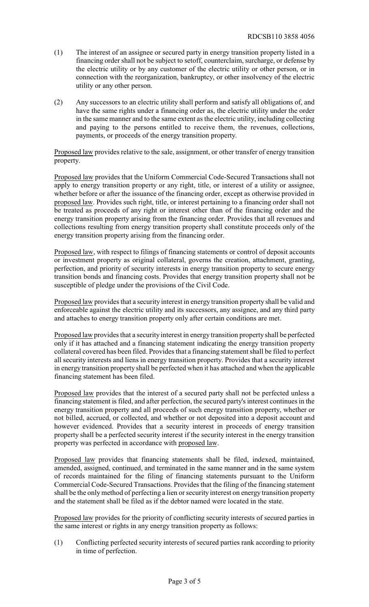- (1) The interest of an assignee or secured party in energy transition property listed in a financing order shall not be subject to setoff, counterclaim, surcharge, or defense by the electric utility or by any customer of the electric utility or other person, or in connection with the reorganization, bankruptcy, or other insolvency of the electric utility or any other person.
- (2) Any successors to an electric utility shall perform and satisfy all obligations of, and have the same rights under a financing order as, the electric utility under the order in the same manner and to the same extent as the electric utility, including collecting and paying to the persons entitled to receive them, the revenues, collections, payments, or proceeds of the energy transition property.

Proposed law provides relative to the sale, assignment, or other transfer of energy transition property.

Proposed law provides that the Uniform Commercial Code-Secured Transactions shall not apply to energy transition property or any right, title, or interest of a utility or assignee, whether before or after the issuance of the financing order, except as otherwise provided in proposed law. Provides such right, title, or interest pertaining to a financing order shall not be treated as proceeds of any right or interest other than of the financing order and the energy transition property arising from the financing order. Provides that all revenues and collections resulting from energy transition property shall constitute proceeds only of the energy transition property arising from the financing order.

Proposed law, with respect to filings of financing statements or control of deposit accounts or investment property as original collateral, governs the creation, attachment, granting, perfection, and priority of security interests in energy transition property to secure energy transition bonds and financing costs. Provides that energy transition property shall not be susceptible of pledge under the provisions of the Civil Code.

Proposed law provides that a security interest in energy transition property shall be valid and enforceable against the electric utility and its successors, any assignee, and any third party and attaches to energy transition property only after certain conditions are met.

Proposed law provides that a security interest in energy transition property shall be perfected only if it has attached and a financing statement indicating the energy transition property collateral covered has been filed. Provides that a financing statement shall be filed to perfect all security interests and liens in energy transition property. Provides that a security interest in energy transition property shall be perfected when it has attached and when the applicable financing statement has been filed.

Proposed law provides that the interest of a secured party shall not be perfected unless a financing statement is filed, and after perfection, the secured party's interest continues in the energy transition property and all proceeds of such energy transition property, whether or not billed, accrued, or collected, and whether or not deposited into a deposit account and however evidenced. Provides that a security interest in proceeds of energy transition property shall be a perfected security interest if the security interest in the energy transition property was perfected in accordance with proposed law.

Proposed law provides that financing statements shall be filed, indexed, maintained, amended, assigned, continued, and terminated in the same manner and in the same system of records maintained for the filing of financing statements pursuant to the Uniform Commercial Code-Secured Transactions. Provides that the filing of the financing statement shall be the onlymethod of perfecting a lien or security interest on energy transition property and the statement shall be filed as if the debtor named were located in the state.

Proposed law provides for the priority of conflicting security interests of secured parties in the same interest or rights in any energy transition property as follows:

(1) Conflicting perfected security interests of secured parties rank according to priority in time of perfection.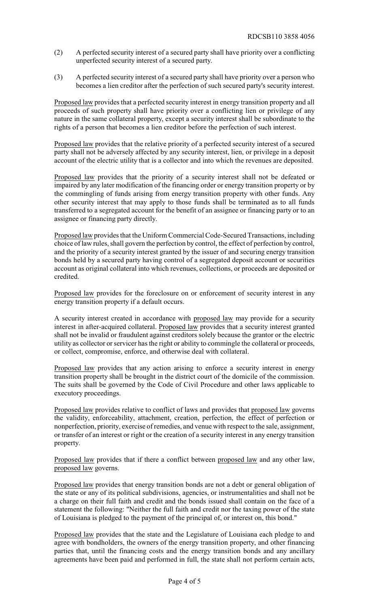- (2) A perfected security interest of a secured party shall have priority over a conflicting unperfected security interest of a secured party.
- (3) A perfected security interest of a secured party shall have priority over a person who becomes a lien creditor after the perfection of such secured party's security interest.

Proposed law provides that a perfected security interest in energy transition property and all proceeds of such property shall have priority over a conflicting lien or privilege of any nature in the same collateral property, except a security interest shall be subordinate to the rights of a person that becomes a lien creditor before the perfection of such interest.

Proposed law provides that the relative priority of a perfected security interest of a secured party shall not be adversely affected by any security interest, lien, or privilege in a deposit account of the electric utility that is a collector and into which the revenues are deposited.

Proposed law provides that the priority of a security interest shall not be defeated or impaired by any later modification of the financing order or energy transition property or by the commingling of funds arising from energy transition property with other funds. Any other security interest that may apply to those funds shall be terminated as to all funds transferred to a segregated account for the benefit of an assignee or financing party or to an assignee or financing party directly.

Proposed law provides that the Uniform Commercial Code-Secured Transactions, including choice of law rules, shall govern the perfection by control, the effect of perfection by control, and the priority of a security interest granted by the issuer of and securing energy transition bonds held by a secured party having control of a segregated deposit account or securities account as original collateral into which revenues, collections, or proceeds are deposited or credited.

Proposed law provides for the foreclosure on or enforcement of security interest in any energy transition property if a default occurs.

A security interest created in accordance with proposed law may provide for a security interest in after-acquired collateral. Proposed law provides that a security interest granted shall not be invalid or fraudulent against creditors solely because the grantor or the electric utility as collector or servicer has the right or ability to commingle the collateral or proceeds, or collect, compromise, enforce, and otherwise deal with collateral.

Proposed law provides that any action arising to enforce a security interest in energy transition property shall be brought in the district court of the domicile of the commission. The suits shall be governed by the Code of Civil Procedure and other laws applicable to executory proceedings.

Proposed law provides relative to conflict of laws and provides that proposed law governs the validity, enforceability, attachment, creation, perfection, the effect of perfection or nonperfection, priority, exercise of remedies, and venue with respect to the sale, assignment, or transfer of an interest or right or the creation of a security interest in any energy transition property.

Proposed law provides that if there a conflict between proposed law and any other law, proposed law governs.

Proposed law provides that energy transition bonds are not a debt or general obligation of the state or any of its political subdivisions, agencies, or instrumentalities and shall not be a charge on their full faith and credit and the bonds issued shall contain on the face of a statement the following: "Neither the full faith and credit nor the taxing power of the state of Louisiana is pledged to the payment of the principal of, or interest on, this bond."

Proposed law provides that the state and the Legislature of Louisiana each pledge to and agree with bondholders, the owners of the energy transition property, and other financing parties that, until the financing costs and the energy transition bonds and any ancillary agreements have been paid and performed in full, the state shall not perform certain acts,